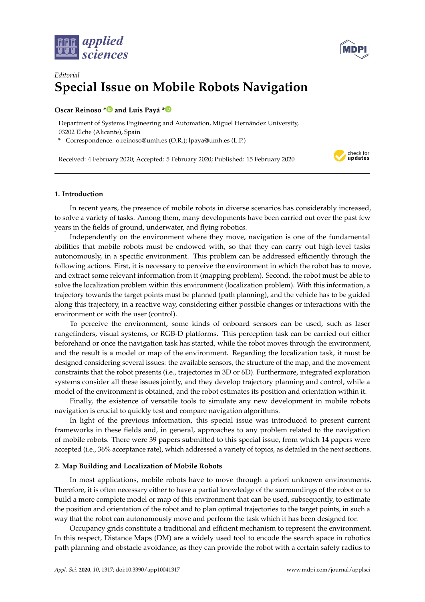



# *Editorial* **Special Issue on Mobile Robots Navigation**

## **Oscar Reinoso [\\*](https://orcid.org/0000-0002-1065-8944) and Luis Payá [\\*](https://orcid.org/0000-0002-3045-4316)**

Department of Systems Engineering and Automation, Miguel Hernández University, 03202 Elche (Alicante), Spain

**\*** Correspondence: o.reinoso@umh.es (O.R.); lpaya@umh.es (L.P.)

Received: 4 February 2020; Accepted: 5 February 2020; Published: 15 February 2020



## **1. Introduction**

In recent years, the presence of mobile robots in diverse scenarios has considerably increased, to solve a variety of tasks. Among them, many developments have been carried out over the past few years in the fields of ground, underwater, and flying robotics.

Independently on the environment where they move, navigation is one of the fundamental abilities that mobile robots must be endowed with, so that they can carry out high-level tasks autonomously, in a specific environment. This problem can be addressed efficiently through the following actions. First, it is necessary to perceive the environment in which the robot has to move, and extract some relevant information from it (mapping problem). Second, the robot must be able to solve the localization problem within this environment (localization problem). With this information, a trajectory towards the target points must be planned (path planning), and the vehicle has to be guided along this trajectory, in a reactive way, considering either possible changes or interactions with the environment or with the user (control).

To perceive the environment, some kinds of onboard sensors can be used, such as laser rangefinders, visual systems, or RGB-D platforms. This perception task can be carried out either beforehand or once the navigation task has started, while the robot moves through the environment, and the result is a model or map of the environment. Regarding the localization task, it must be designed considering several issues: the available sensors, the structure of the map, and the movement constraints that the robot presents (i.e., trajectories in 3D or 6D). Furthermore, integrated exploration systems consider all these issues jointly, and they develop trajectory planning and control, while a model of the environment is obtained, and the robot estimates its position and orientation within it.

Finally, the existence of versatile tools to simulate any new development in mobile robots navigation is crucial to quickly test and compare navigation algorithms.

In light of the previous information, this special issue was introduced to present current frameworks in these fields and, in general, approaches to any problem related to the navigation of mobile robots. There were 39 papers submitted to this special issue, from which 14 papers were accepted (i.e., 36% acceptance rate), which addressed a variety of topics, as detailed in the next sections.

### **2. Map Building and Localization of Mobile Robots**

In most applications, mobile robots have to move through a priori unknown environments. Therefore, it is often necessary either to have a partial knowledge of the surroundings of the robot or to build a more complete model or map of this environment that can be used, subsequently, to estimate the position and orientation of the robot and to plan optimal trajectories to the target points, in such a way that the robot can autonomously move and perform the task which it has been designed for.

Occupancy grids constitute a traditional and efficient mechanism to represent the environment. In this respect, Distance Maps (DM) are a widely used tool to encode the search space in robotics path planning and obstacle avoidance, as they can provide the robot with a certain safety radius to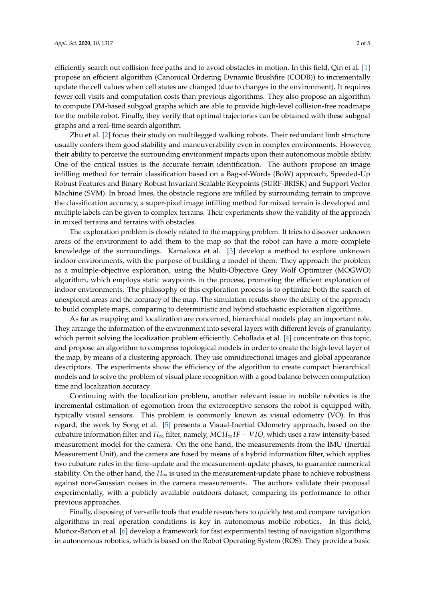efficiently search out collision-free paths and to avoid obstacles in motion. In this field, Qin et al. [\[1\]](#page-3-0) propose an efficient algorithm (Canonical Ordering Dynamic Brushfire (CODB)) to incrementally update the cell values when cell states are changed (due to changes in the environment). It requires fewer cell visits and computation costs than previous algorithms. They also propose an algorithm to compute DM-based subgoal graphs which are able to provide high-level collision-free roadmaps for the mobile robot. Finally, they verify that optimal trajectories can be obtained with these subgoal graphs and a real-time search algorithm.

Zhu et al. [\[2\]](#page-3-1) focus their study on multilegged walking robots. Their redundant limb structure usually confers them good stability and maneuverability even in complex environments. However, their ability to perceive the surrounding environment impacts upon their autonomous mobile ability. One of the critical issues is the accurate terrain identification. The authors propose an image infilling method for terrain classification based on a Bag-of-Words (BoW) approach, Speeded-Up Robust Features and Binary Robust Invariant Scalable Keypoints (SURF-BRISK) and Support Vector Machine (SVM). In broad lines, the obstacle regions are infilled by surrounding terrain to improve the classification accuracy, a super-pixel image infilling method for mixed terrain is developed and multiple labels can be given to complex terrains. Their experiments show the validity of the approach in mixed terrains and terrains with obstacles.

The exploration problem is closely related to the mapping problem. It tries to discover unknown areas of the environment to add them to the map so that the robot can have a more complete knowledge of the surroundings. Kamalova et al. [\[3\]](#page-3-2) develop a method to explore unknown indoor environments, with the purpose of building a model of them. They approach the problem as a multiple-objective exploration, using the Multi-Objective Grey Wolf Optimizer (MOGWO) algorithm, which employs static waypoints in the process, promoting the efficient exploration of indoor environments. The philosophy of this exploration process is to optimize both the search of unexplored areas and the accuracy of the map. The simulation results show the ability of the approach to build complete maps, comparing to deterministic and hybrid stochastic exploration algorithms.

As far as mapping and localization are concerned, hierarchical models play an important role. They arrange the information of the environment into several layers with different levels of granularity, which permit solving the localization problem efficiently. Cebollada et al. [\[4\]](#page-4-0) concentrate on this topic, and propose an algorithm to compress topological models in order to create the high-level layer of the map, by means of a clustering approach. They use omnidirectional images and global appearance descriptors. The experiments show the efficiency of the algorithm to create compact hierarchical models and to solve the problem of visual place recognition with a good balance between computation time and localization accuracy.

Continuing with the localization problem, another relevant issue in mobile robotics is the incremental estimation of egomotion from the exteroceptive sensors the robot is equipped with, typically visual sensors. This problem is commonly known as visual odometry (VO). In this regard, the work by Song et al. [\[5\]](#page-4-1) presents a Visual-Inertial Odometry approach, based on the cubature information filter and  $H_{\infty}$  filter, namely,  $MCH_{\infty}IF - VIO$ , which uses a raw intensity-based measurement model for the camera. On the one hand, the measurements from the IMU (Inertial Measurement Unit), and the camera are fused by means of a hybrid information filter, which applies two cubature rules in the time-update and the measurement-update phases, to guarantee numerical stability. On the other hand, the  $H_{\infty}$  is used in the measurement-update phase to achieve robustness against non-Gaussian noises in the camera measurements. The authors validate their proposal experimentally, with a publicly available outdoors dataset, comparing its performance to other previous approaches.

Finally, disposing of versatile tools that enable researchers to quickly test and compare navigation algorithms in real operation conditions is key in autonomous mobile robotics. In this field, Muñoz-Bañon et al. [\[6\]](#page-4-2) develop a framework for fast experimental testing of navigation algorithms in autonomous robotics, which is based on the Robot Operating System (ROS). They provide a basic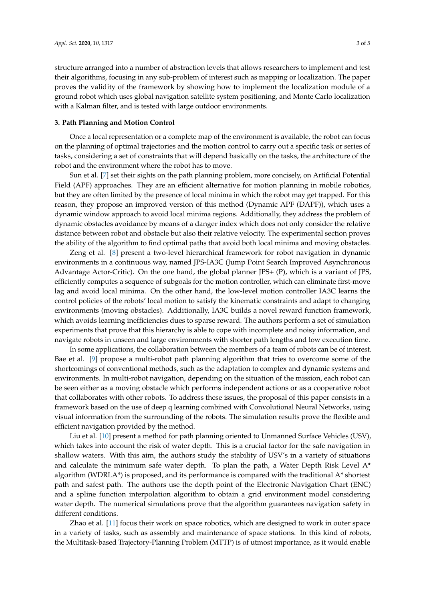structure arranged into a number of abstraction levels that allows researchers to implement and test their algorithms, focusing in any sub-problem of interest such as mapping or localization. The paper proves the validity of the framework by showing how to implement the localization module of a ground robot which uses global navigation satellite system positioning, and Monte Carlo localization with a Kalman filter, and is tested with large outdoor environments.

#### **3. Path Planning and Motion Control**

Once a local representation or a complete map of the environment is available, the robot can focus on the planning of optimal trajectories and the motion control to carry out a specific task or series of tasks, considering a set of constraints that will depend basically on the tasks, the architecture of the robot and the environment where the robot has to move.

Sun et al. [\[7\]](#page-4-3) set their sights on the path planning problem, more concisely, on Artificial Potential Field (APF) approaches. They are an efficient alternative for motion planning in mobile robotics, but they are often limited by the presence of local minima in which the robot may get trapped. For this reason, they propose an improved version of this method (Dynamic APF (DAPF)), which uses a dynamic window approach to avoid local minima regions. Additionally, they address the problem of dynamic obstacles avoidance by means of a danger index which does not only consider the relative distance between robot and obstacle but also their relative velocity. The experimental section proves the ability of the algorithm to find optimal paths that avoid both local minima and moving obstacles.

Zeng et al. [\[8\]](#page-4-4) present a two-level hierarchical framework for robot navigation in dynamic environments in a continuous way, named JPS-IA3C (Jump Point Search Improved Asynchronous Advantage Actor-Critic). On the one hand, the global planner JPS+ (P), which is a variant of JPS, efficiently computes a sequence of subgoals for the motion controller, which can eliminate first-move lag and avoid local minima. On the other hand, the low-level motion controller IA3C learns the control policies of the robots' local motion to satisfy the kinematic constraints and adapt to changing environments (moving obstacles). Additionally, IA3C builds a novel reward function framework, which avoids learning inefficiencies dues to sparse reward. The authors perform a set of simulation experiments that prove that this hierarchy is able to cope with incomplete and noisy information, and navigate robots in unseen and large environments with shorter path lengths and low execution time.

In some applications, the collaboration between the members of a team of robots can be of interest. Bae et al. [\[9\]](#page-4-5) propose a multi-robot path planning algorithm that tries to overcome some of the shortcomings of conventional methods, such as the adaptation to complex and dynamic systems and environments. In multi-robot navigation, depending on the situation of the mission, each robot can be seen either as a moving obstacle which performs independent actions or as a cooperative robot that collaborates with other robots. To address these issues, the proposal of this paper consists in a framework based on the use of deep q learning combined with Convolutional Neural Networks, using visual information from the surrounding of the robots. The simulation results prove the flexible and efficient navigation provided by the method.

Liu et al. [\[10\]](#page-4-6) present a method for path planning oriented to Unmanned Surface Vehicles (USV), which takes into account the risk of water depth. This is a crucial factor for the safe navigation in shallow waters. With this aim, the authors study the stability of USV's in a variety of situations and calculate the minimum safe water depth. To plan the path, a Water Depth Risk Level  $A^*$ algorithm (WDRLA $*$ ) is proposed, and its performance is compared with the traditional  $A*$  shortest path and safest path. The authors use the depth point of the Electronic Navigation Chart (ENC) and a spline function interpolation algorithm to obtain a grid environment model considering water depth. The numerical simulations prove that the algorithm guarantees navigation safety in different conditions.

Zhao et al. [\[11\]](#page-4-7) focus their work on space robotics, which are designed to work in outer space in a variety of tasks, such as assembly and maintenance of space stations. In this kind of robots, the Multitask-based Trajectory-Planning Problem (MTTP) is of utmost importance, as it would enable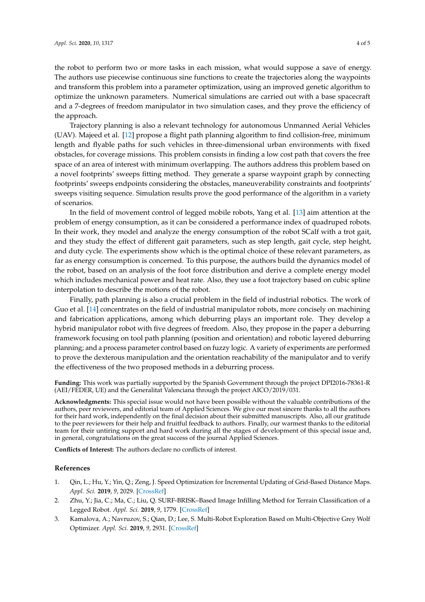the robot to perform two or more tasks in each mission, what would suppose a save of energy. The authors use piecewise continuous sine functions to create the trajectories along the waypoints and transform this problem into a parameter optimization, using an improved genetic algorithm to optimize the unknown parameters. Numerical simulations are carried out with a base spacecraft and a 7-degrees of freedom manipulator in two simulation cases, and they prove the efficiency of the approach.

Trajectory planning is also a relevant technology for autonomous Unmanned Aerial Vehicles (UAV). Majeed et al. [\[12\]](#page-4-8) propose a flight path planning algorithm to find collision-free, minimum length and flyable paths for such vehicles in three-dimensional urban environments with fixed obstacles, for coverage missions. This problem consists in finding a low cost path that covers the free space of an area of interest with minimum overlapping. The authors address this problem based on a novel footprints' sweeps fitting method. They generate a sparse waypoint graph by connecting footprints' sweeps endpoints considering the obstacles, maneuverability constraints and footprints' sweeps visiting sequence. Simulation results prove the good performance of the algorithm in a variety of scenarios.

In the field of movement control of legged mobile robots, Yang et al. [\[13\]](#page-4-9) aim attention at the problem of energy consumption, as it can be considered a performance index of quadruped robots. In their work, they model and analyze the energy consumption of the robot SCalf with a trot gait, and they study the effect of different gait parameters, such as step length, gait cycle, step height, and duty cycle. The experiments show which is the optimal choice of these relevant parameters, as far as energy consumption is concerned. To this purpose, the authors build the dynamics model of the robot, based on an analysis of the foot force distribution and derive a complete energy model which includes mechanical power and heat rate. Also, they use a foot trajectory based on cubic spline interpolation to describe the motions of the robot.

Finally, path planning is also a crucial problem in the field of industrial robotics. The work of Guo et al. [\[14\]](#page-4-10) concentrates on the field of industrial manipulator robots, more concisely on machining and fabrication applications, among which deburring plays an important role. They develop a hybrid manipulator robot with five degrees of freedom. Also, they propose in the paper a deburring framework focusing on tool path planning (position and orientation) and robotic layered deburring planning; and a process parameter control based on fuzzy logic. A variety of experiments are performed to prove the dexterous manipulation and the orientation reachability of the manipulator and to verify the effectiveness of the two proposed methods in a deburring process.

**Funding:** This work was partially supported by the Spanish Government through the project DPI2016-78361-R (AEI/FEDER, UE) and the Generalitat Valenciana through the project AICO/2019/031.

**Acknowledgments:** This special issue would not have been possible without the valuable contributions of the authors, peer reviewers, and editorial team of Applied Sciences. We give our most sincere thanks to all the authors for their hard work, independently on the final decision about their submitted manuscripts. Also, all our gratitude to the peer reviewers for their help and fruitful feedback to authors. Finally, our warmest thanks to the editorial team for their untiring support and hard work during all the stages of development of this special issue and, in general, congratulations on the great success of the journal Applied Sciences.

**Conflicts of Interest:** The authors declare no conflicts of interest.

#### **References**

- <span id="page-3-0"></span>1. Qin, L.; Hu, Y.; Yin, Q.; Zeng, J. Speed Optimization for Incremental Updating of Grid-Based Distance Maps. *Appl. Sci.* **2019**, *9*, 2029. [\[CrossRef\]](http://dx.doi.org/10.3390/app9102029)
- <span id="page-3-1"></span>2. Zhu, Y.; Jia, C.; Ma, C.; Liu, Q. SURF-BRISK–Based Image Infilling Method for Terrain Classification of a Legged Robot. *Appl. Sci.* **2019**, *9*, 1779. [\[CrossRef\]](http://dx.doi.org/10.3390/app9091779)
- <span id="page-3-2"></span>3. Kamalova, A.; Navruzov, S.; Qian, D.; Lee, S. Multi-Robot Exploration Based on Multi-Objective Grey Wolf Optimizer. *Appl. Sci.* **2019**, *9*, 2931. [\[CrossRef\]](http://dx.doi.org/10.3390/app9142931)